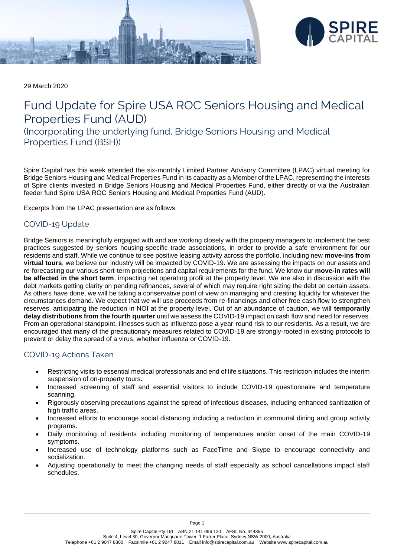



29 March 2020

# Fund Update for Spire USA ROC Seniors Housing and Medical Properties Fund (AUD)

(Incorporating the underlying fund, Bridge Seniors Housing and Medical Properties Fund (BSH))

Spire Capital has this week attended the six-monthly Limited Partner Advisory Committee (LPAC) virtual meeting for Bridge Seniors Housing and Medical Properties Fund in its capacity as a Member of the LPAC, representing the interests of Spire clients invested in Bridge Seniors Housing and Medical Properties Fund, either directly or via the Australian feeder fund Spire USA ROC Seniors Housing and Medical Properties Fund (AUD).

Excerpts from the LPAC presentation are as follows:

## COVID-19 Update

Bridge Seniors is meaningfully engaged with and are working closely with the property managers to implement the best practices suggested by seniors housing-specific trade associations, in order to provide a safe environment for our residents and staff. While we continue to see positive leasing activity across the portfolio, including new **move-ins from virtual tours**, we believe our industry will be impacted by COVID-19. We are assessing the impacts on our assets and re-forecasting our various short-term projections and capital requirements for the fund. We know our **move-in rates will be affected in the short term**, impacting net operating profit at the property level. We are also in discussion with the debt markets getting clarity on pending refinances, several of which may require right sizing the debt on certain assets. As others have done, we will be taking a conservative point of view on managing and creating liquidity for whatever the circumstances demand. We expect that we will use proceeds from re-financings and other free cash flow to strengthen reserves, anticipating the reduction in NOI at the property level. Out of an abundance of caution, we will **temporarily delay distributions from the fourth quarter** until we assess the COVID-19 impact on cash flow and need for reserves. From an operational standpoint, illnesses such as influenza pose a year-round risk to our residents. As a result, we are encouraged that many of the precautionary measures related to COVID-19 are strongly-rooted in existing protocols to prevent or delay the spread of a virus, whether influenza or COVID-19.

## COVID-19 Actions Taken

- Restricting visits to essential medical professionals and end of life situations. This restriction includes the interim suspension of on-property tours.
- Increased screening of staff and essential visitors to include COVID-19 questionnaire and temperature scanning.
- Rigorously observing precautions against the spread of infectious diseases, including enhanced sanitization of high traffic areas.
- Increased efforts to encourage social distancing including a reduction in communal dining and group activity programs.
- Daily monitoring of residents including monitoring of temperatures and/or onset of the main COVID-19 symptoms.
- Increased use of technology platforms such as FaceTime and Skype to encourage connectivity and socialization.
- Adjusting operationally to meet the changing needs of staff especially as school cancellations impact staff schedules.